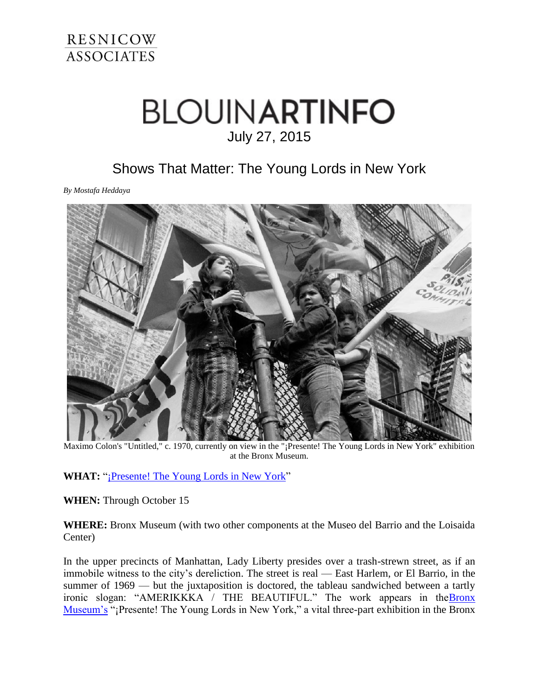

## **BLOUINARTINFO** July 27, 2015

## Shows That Matter: The Young Lords in New York

*By Mostafa Heddaya*



Maximo Colon's "Untitled," c. 1970, currently on view in the "¡Presente! The Young Lords in New York" exhibition at the Bronx Museum.

WHAT: "*¡Presente! The Young Lords in New York*"

**WHEN:** Through October 15

**WHERE:** Bronx Museum (with two other components at the Museo del Barrio and the Loisaida Center)

In the upper precincts of Manhattan, Lady Liberty presides over a trash-strewn street, as if an immobile witness to the city's dereliction. The street is real — East Harlem, or El Barrio, in the summer of 1969 — but the juxtaposition is doctored, the tableau sandwiched between a tartly ironic slogan: "AMERIKKKA / THE BEAUTIFUL." The work appears in the **Bronx** [Museum's](http://www.bronxmuseum.org/) "¡Presente! The Young Lords in New York," a vital three-part exhibition in the Bronx